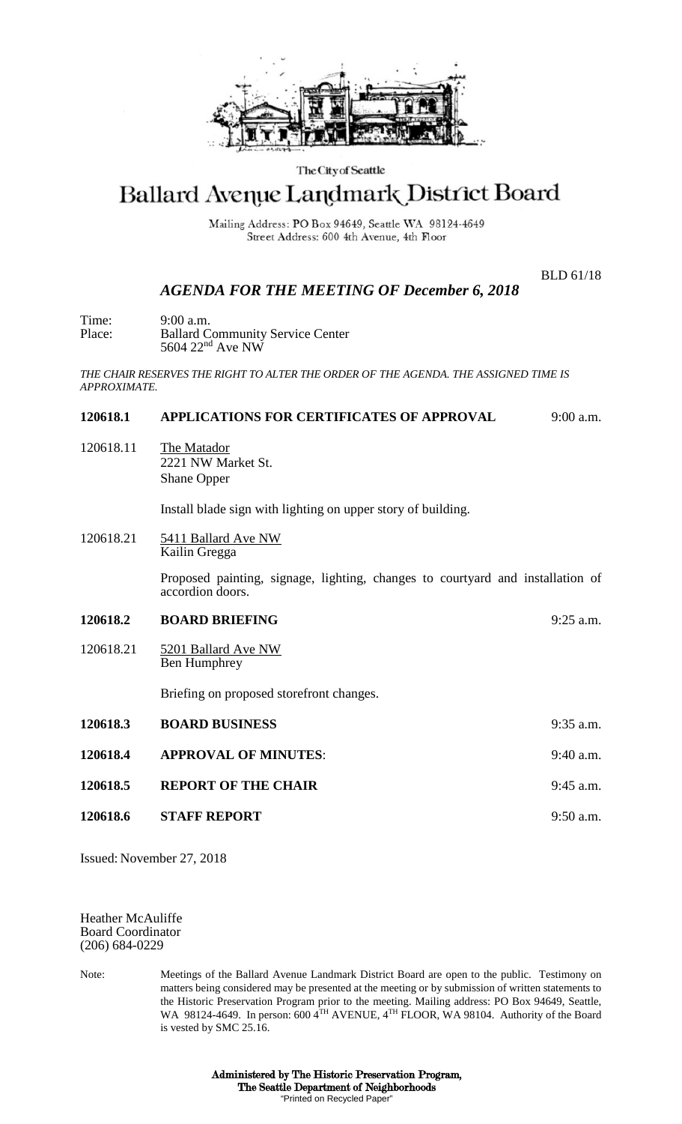

#### The City of Seattle

# Ballard Avenue Landmark District Board

Mailing Address: PO Box 94649, Seattle WA 98124-4649 Street Address: 600 4th Avenue, 4th Floor

BLD 61/18

## *AGENDA FOR THE MEETING OF December 6, 2018*

Time: 9:00 a.m.<br>Place: Ballard C **Ballard Community Service Center** 5604 22<sup>nd</sup> Ave NW

*THE CHAIR RESERVES THE RIGHT TO ALTER THE ORDER OF THE AGENDA. THE ASSIGNED TIME IS APPROXIMATE.*

#### **120618.1 APPLICATIONS FOR CERTIFICATES OF APPROVAL** 9:00 a.m.

120618.11 The Matador 2221 NW Market St. Shane Opper

Install blade sign with lighting on upper story of building.

120618.21 5411 Ballard Ave NW Kailin Gregga

> Proposed painting, signage, lighting, changes to courtyard and installation of accordion doors.

| 120618.2 | <b>BOARD BRIEFING</b> | $9:25$ a.m. |
|----------|-----------------------|-------------|
|          |                       |             |

120618.21 5201 Ballard Ave NW Ben Humphrey

Briefing on proposed storefront changes.

| 120618.3 | <b>BOARD BUSINESS</b>       | $9:35$ a.m. |
|----------|-----------------------------|-------------|
| 120618.4 | <b>APPROVAL OF MINUTES:</b> | $9:40$ a.m. |
| 120618.5 | <b>REPORT OF THE CHAIR</b>  | $9:45$ a.m. |
| 120618.6 | <b>STAFF REPORT</b>         | $9:50$ a.m. |

Issued: November 27, 2018

Heather McAuliffe Board Coordinator (206) 684-0229

Note: Meetings of the Ballard Avenue Landmark District Board are open to the public. Testimony on matters being considered may be presented at the meeting or by submission of written statements to the Historic Preservation Program prior to the meeting. Mailing address: PO Box 94649, Seattle, WA 98124-4649. In person: 600 4TH AVENUE, 4TH FLOOR, WA 98104. Authority of the Board is vested by SMC 25.16.